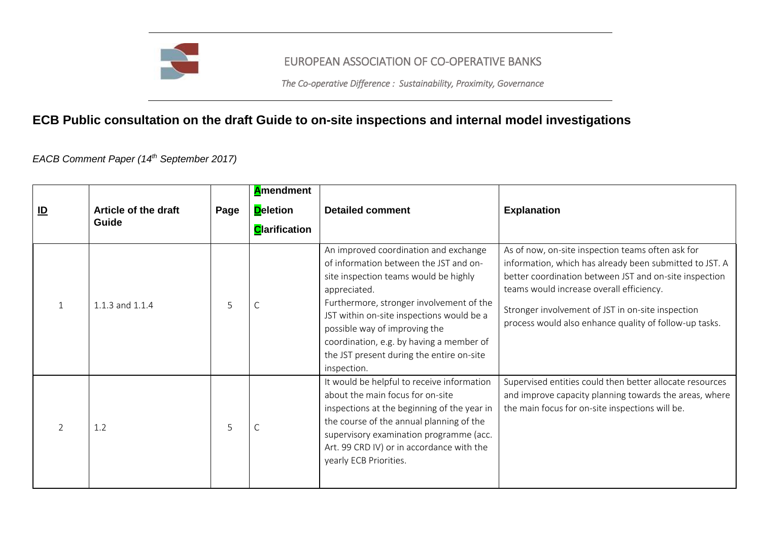

## EUROPEAN ASSOCIATION OF CO-OPERATIVE BANKS

*The Co-operative Difference : Sustainability, Proximity, Governance* 

## **ECB Public consultation on the draft Guide to on-site inspections and internal model investigations**

*EACB Comment Paper (14th September 2017)*

| $\underline{\mathsf{ID}}$ | Article of the draft<br>Guide | Page | <b>A</b> mendment<br><b>D</b> eletion<br><b>C</b> larification | <b>Detailed comment</b>                                                                                                                                                                                                                                                                                                                                                    | <b>Explanation</b>                                                                                                                                                                                                                                                                                                                |
|---------------------------|-------------------------------|------|----------------------------------------------------------------|----------------------------------------------------------------------------------------------------------------------------------------------------------------------------------------------------------------------------------------------------------------------------------------------------------------------------------------------------------------------------|-----------------------------------------------------------------------------------------------------------------------------------------------------------------------------------------------------------------------------------------------------------------------------------------------------------------------------------|
|                           | 1.1.3 and 1.1.4               | 5    |                                                                | An improved coordination and exchange<br>of information between the JST and on-<br>site inspection teams would be highly<br>appreciated.<br>Furthermore, stronger involvement of the<br>JST within on-site inspections would be a<br>possible way of improving the<br>coordination, e.g. by having a member of<br>the JST present during the entire on-site<br>inspection. | As of now, on-site inspection teams often ask for<br>information, which has already been submitted to JST. A<br>better coordination between JST and on-site inspection<br>teams would increase overall efficiency.<br>Stronger involvement of JST in on-site inspection<br>process would also enhance quality of follow-up tasks. |
|                           | 1.2                           | 5    |                                                                | It would be helpful to receive information<br>about the main focus for on-site<br>inspections at the beginning of the year in<br>the course of the annual planning of the<br>supervisory examination programme (acc.<br>Art. 99 CRD IV) or in accordance with the<br>yearly ECB Priorities.                                                                                | Supervised entities could then better allocate resources<br>and improve capacity planning towards the areas, where<br>the main focus for on-site inspections will be.                                                                                                                                                             |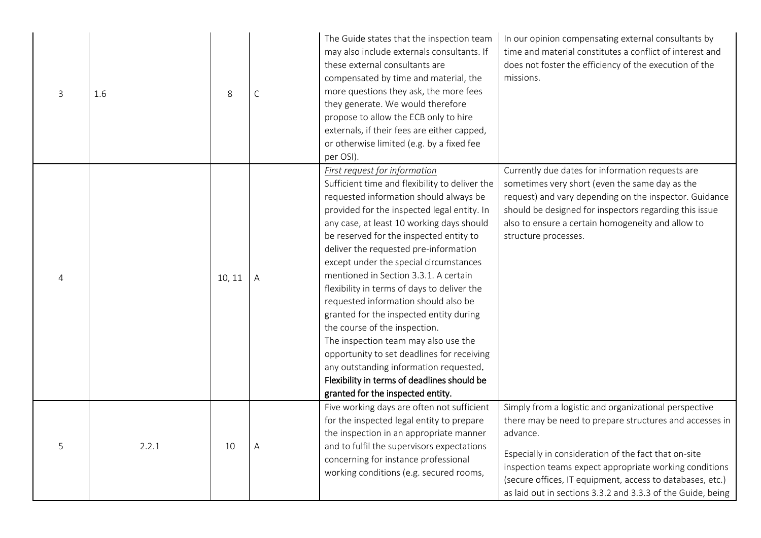| 3 | 1.6   | 8      | $\mathsf C$  | The Guide states that the inspection team<br>may also include externals consultants. If<br>these external consultants are<br>compensated by time and material, the<br>more questions they ask, the more fees<br>they generate. We would therefore<br>propose to allow the ECB only to hire<br>externals, if their fees are either capped,<br>or otherwise limited (e.g. by a fixed fee<br>per OSI).                                                                                                                                                                                                                                                                                                                                                                                        | In our opinion compensating external consultants by<br>time and material constitutes a conflict of interest and<br>does not foster the efficiency of the execution of the<br>missions.                                                                                                                                                                                     |
|---|-------|--------|--------------|--------------------------------------------------------------------------------------------------------------------------------------------------------------------------------------------------------------------------------------------------------------------------------------------------------------------------------------------------------------------------------------------------------------------------------------------------------------------------------------------------------------------------------------------------------------------------------------------------------------------------------------------------------------------------------------------------------------------------------------------------------------------------------------------|----------------------------------------------------------------------------------------------------------------------------------------------------------------------------------------------------------------------------------------------------------------------------------------------------------------------------------------------------------------------------|
| 4 |       | 10, 11 | $\mathsf{A}$ | <b>First request for information</b><br>Sufficient time and flexibility to deliver the<br>requested information should always be<br>provided for the inspected legal entity. In<br>any case, at least 10 working days should<br>be reserved for the inspected entity to<br>deliver the requested pre-information<br>except under the special circumstances<br>mentioned in Section 3.3.1. A certain<br>flexibility in terms of days to deliver the<br>requested information should also be<br>granted for the inspected entity during<br>the course of the inspection.<br>The inspection team may also use the<br>opportunity to set deadlines for receiving<br>any outstanding information requested.<br>Flexibility in terms of deadlines should be<br>granted for the inspected entity. | Currently due dates for information requests are<br>sometimes very short (even the same day as the<br>request) and vary depending on the inspector. Guidance<br>should be designed for inspectors regarding this issue<br>also to ensure a certain homogeneity and allow to<br>structure processes.                                                                        |
| 5 | 2.2.1 | 10     | A            | Five working days are often not sufficient<br>for the inspected legal entity to prepare<br>the inspection in an appropriate manner<br>and to fulfil the supervisors expectations<br>concerning for instance professional<br>working conditions (e.g. secured rooms,                                                                                                                                                                                                                                                                                                                                                                                                                                                                                                                        | Simply from a logistic and organizational perspective<br>there may be need to prepare structures and accesses in<br>advance.<br>Especially in consideration of the fact that on-site<br>inspection teams expect appropriate working conditions<br>(secure offices, IT equipment, access to databases, etc.)<br>as laid out in sections 3.3.2 and 3.3.3 of the Guide, being |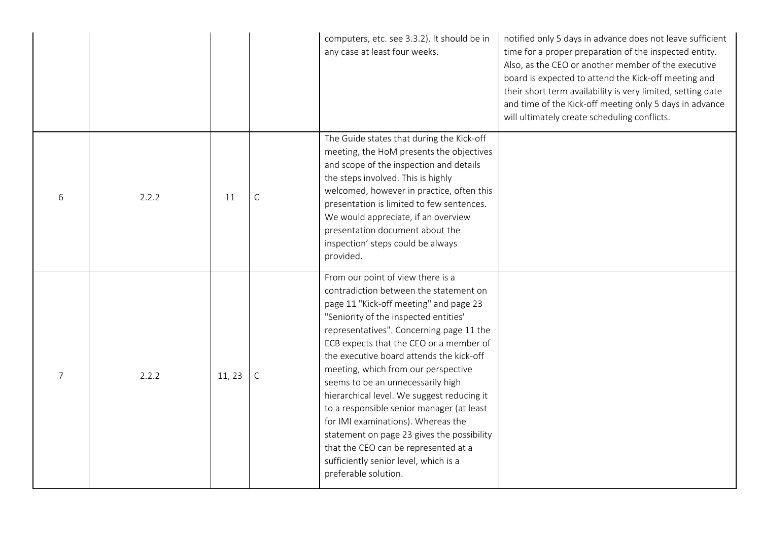|   |       |        |              | computers, etc. see 3.3.2). It should be in<br>any case at least four weeks.                                                                                                                                                                                                                                                                                                                                                                                                                                                                                                                                                                                          | notified only 5 days in advance does not leave sufficient<br>time for a proper preparation of the inspected entity.<br>Also, as the CEO or another member of the executive<br>board is expected to attend the Kick-off meeting and<br>their short term availability is very limited, setting date<br>and time of the Kick-off meeting only 5 days in advance<br>will ultimately create scheduling conflicts. |
|---|-------|--------|--------------|-----------------------------------------------------------------------------------------------------------------------------------------------------------------------------------------------------------------------------------------------------------------------------------------------------------------------------------------------------------------------------------------------------------------------------------------------------------------------------------------------------------------------------------------------------------------------------------------------------------------------------------------------------------------------|--------------------------------------------------------------------------------------------------------------------------------------------------------------------------------------------------------------------------------------------------------------------------------------------------------------------------------------------------------------------------------------------------------------|
| 6 | 2.2.2 | 11     | $\mathsf{C}$ | The Guide states that during the Kick-off<br>meeting, the HoM presents the objectives<br>and scope of the inspection and details<br>the steps involved. This is highly<br>welcomed, however in practice, often this<br>presentation is limited to few sentences.<br>We would appreciate, if an overview<br>presentation document about the<br>inspection' steps could be always<br>provided.                                                                                                                                                                                                                                                                          |                                                                                                                                                                                                                                                                                                                                                                                                              |
| 7 | 2.2.2 | 11, 23 | $\mathsf{C}$ | From our point of view there is a<br>contradiction between the statement on<br>page 11 "Kick-off meeting" and page 23<br>"Seniority of the inspected entities'<br>representatives". Concerning page 11 the<br>ECB expects that the CEO or a member of<br>the executive board attends the kick-off<br>meeting, which from our perspective<br>seems to be an unnecessarily high<br>hierarchical level. We suggest reducing it<br>to a responsible senior manager (at least<br>for IMI examinations). Whereas the<br>statement on page 23 gives the possibility<br>that the CEO can be represented at a<br>sufficiently senior level, which is a<br>preferable solution. |                                                                                                                                                                                                                                                                                                                                                                                                              |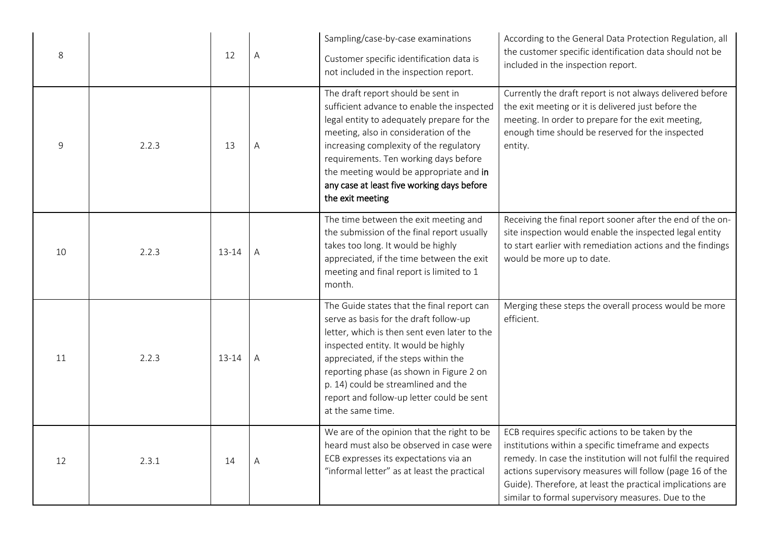| 8  |       | 12    | Α | Sampling/case-by-case examinations<br>Customer specific identification data is<br>not included in the inspection report.                                                                                                                                                                                                                                                  | According to the General Data Protection Regulation, all<br>the customer specific identification data should not be<br>included in the inspection report.                                                                                                                                                                                                |
|----|-------|-------|---|---------------------------------------------------------------------------------------------------------------------------------------------------------------------------------------------------------------------------------------------------------------------------------------------------------------------------------------------------------------------------|----------------------------------------------------------------------------------------------------------------------------------------------------------------------------------------------------------------------------------------------------------------------------------------------------------------------------------------------------------|
| 9  | 2.2.3 | 13    | Α | The draft report should be sent in<br>sufficient advance to enable the inspected<br>legal entity to adequately prepare for the<br>meeting, also in consideration of the<br>increasing complexity of the regulatory<br>requirements. Ten working days before<br>the meeting would be appropriate and in<br>any case at least five working days before<br>the exit meeting  | Currently the draft report is not always delivered before<br>the exit meeting or it is delivered just before the<br>meeting. In order to prepare for the exit meeting,<br>enough time should be reserved for the inspected<br>entity.                                                                                                                    |
| 10 | 2.2.3 | 13-14 | Α | The time between the exit meeting and<br>the submission of the final report usually<br>takes too long. It would be highly<br>appreciated, if the time between the exit<br>meeting and final report is limited to 1<br>month.                                                                                                                                              | Receiving the final report sooner after the end of the on-<br>site inspection would enable the inspected legal entity<br>to start earlier with remediation actions and the findings<br>would be more up to date.                                                                                                                                         |
| 11 | 2.2.3 | 13-14 | A | The Guide states that the final report can<br>serve as basis for the draft follow-up<br>letter, which is then sent even later to the<br>inspected entity. It would be highly<br>appreciated, if the steps within the<br>reporting phase (as shown in Figure 2 on<br>p. 14) could be streamlined and the<br>report and follow-up letter could be sent<br>at the same time. | Merging these steps the overall process would be more<br>efficient.                                                                                                                                                                                                                                                                                      |
| 12 | 2.3.1 | 14    | A | We are of the opinion that the right to be<br>heard must also be observed in case were<br>ECB expresses its expectations via an<br>"informal letter" as at least the practical                                                                                                                                                                                            | ECB requires specific actions to be taken by the<br>institutions within a specific timeframe and expects<br>remedy. In case the institution will not fulfil the required<br>actions supervisory measures will follow (page 16 of the<br>Guide). Therefore, at least the practical implications are<br>similar to formal supervisory measures. Due to the |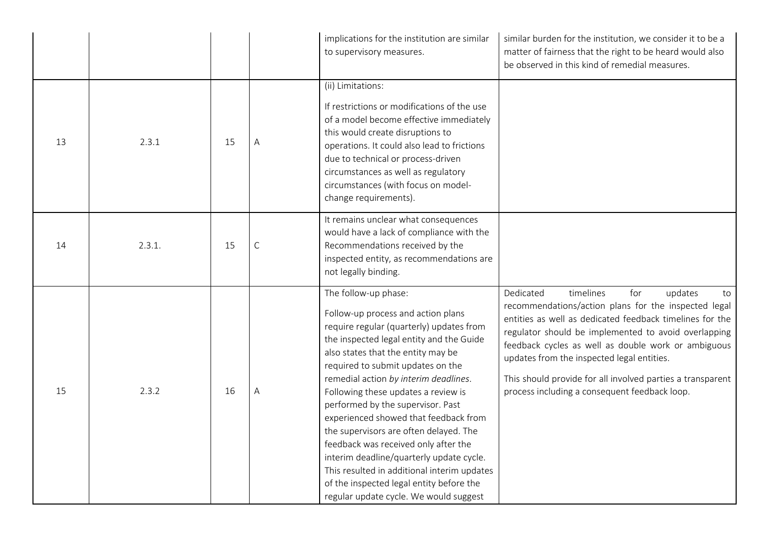|    |        |    |              | implications for the institution are similar<br>to supervisory measures.                                                                                                                                                                                                                                                                                                                                                                                                                                                                                                                                                                                       | similar burden for the institution, we consider it to be a<br>matter of fairness that the right to be heard would also<br>be observed in this kind of remedial measures.                                                                                                                                                                                                                                                                       |
|----|--------|----|--------------|----------------------------------------------------------------------------------------------------------------------------------------------------------------------------------------------------------------------------------------------------------------------------------------------------------------------------------------------------------------------------------------------------------------------------------------------------------------------------------------------------------------------------------------------------------------------------------------------------------------------------------------------------------------|------------------------------------------------------------------------------------------------------------------------------------------------------------------------------------------------------------------------------------------------------------------------------------------------------------------------------------------------------------------------------------------------------------------------------------------------|
| 13 | 2.3.1  | 15 | Α            | (ii) Limitations:<br>If restrictions or modifications of the use<br>of a model become effective immediately<br>this would create disruptions to<br>operations. It could also lead to frictions<br>due to technical or process-driven<br>circumstances as well as regulatory<br>circumstances (with focus on model-<br>change requirements).                                                                                                                                                                                                                                                                                                                    |                                                                                                                                                                                                                                                                                                                                                                                                                                                |
| 14 | 2.3.1. | 15 | $\mathsf{C}$ | It remains unclear what consequences<br>would have a lack of compliance with the<br>Recommendations received by the<br>inspected entity, as recommendations are<br>not legally binding.                                                                                                                                                                                                                                                                                                                                                                                                                                                                        |                                                                                                                                                                                                                                                                                                                                                                                                                                                |
| 15 | 2.3.2  | 16 | A            | The follow-up phase:<br>Follow-up process and action plans<br>require regular (quarterly) updates from<br>the inspected legal entity and the Guide<br>also states that the entity may be<br>required to submit updates on the<br>remedial action by interim deadlines.<br>Following these updates a review is<br>performed by the supervisor. Past<br>experienced showed that feedback from<br>the supervisors are often delayed. The<br>feedback was received only after the<br>interim deadline/quarterly update cycle.<br>This resulted in additional interim updates<br>of the inspected legal entity before the<br>regular update cycle. We would suggest | Dedicated<br>timelines<br>for<br>updates<br>to<br>recommendations/action plans for the inspected legal<br>entities as well as dedicated feedback timelines for the<br>regulator should be implemented to avoid overlapping<br>feedback cycles as well as double work or ambiguous<br>updates from the inspected legal entities.<br>This should provide for all involved parties a transparent<br>process including a consequent feedback loop. |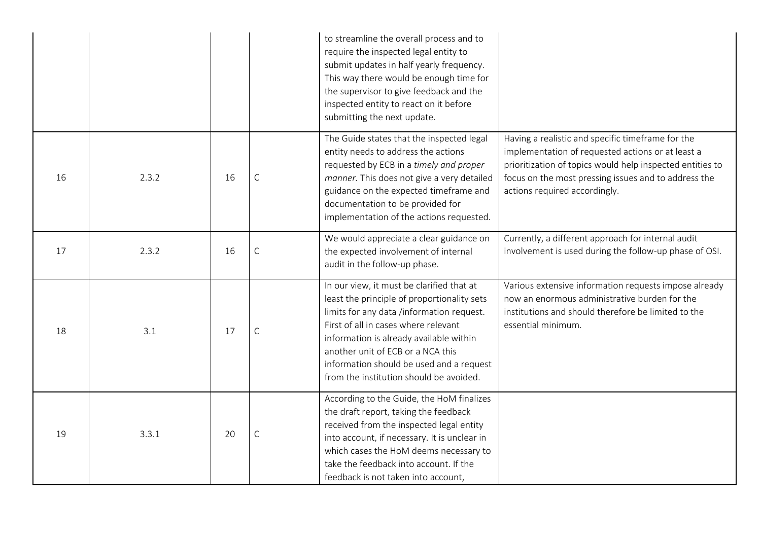|    |       |    |             | to streamline the overall process and to<br>require the inspected legal entity to<br>submit updates in half yearly frequency.<br>This way there would be enough time for<br>the supervisor to give feedback and the<br>inspected entity to react on it before<br>submitting the next update.                                                         |                                                                                                                                                                                                                                                              |
|----|-------|----|-------------|------------------------------------------------------------------------------------------------------------------------------------------------------------------------------------------------------------------------------------------------------------------------------------------------------------------------------------------------------|--------------------------------------------------------------------------------------------------------------------------------------------------------------------------------------------------------------------------------------------------------------|
| 16 | 2.3.2 | 16 | $\mathsf C$ | The Guide states that the inspected legal<br>entity needs to address the actions<br>requested by ECB in a timely and proper<br>manner. This does not give a very detailed<br>guidance on the expected timeframe and<br>documentation to be provided for<br>implementation of the actions requested.                                                  | Having a realistic and specific timeframe for the<br>implementation of requested actions or at least a<br>prioritization of topics would help inspected entities to<br>focus on the most pressing issues and to address the<br>actions required accordingly. |
| 17 | 2.3.2 | 16 | $\mathsf C$ | We would appreciate a clear guidance on<br>the expected involvement of internal<br>audit in the follow-up phase.                                                                                                                                                                                                                                     | Currently, a different approach for internal audit<br>involvement is used during the follow-up phase of OSI.                                                                                                                                                 |
| 18 | 3.1   | 17 | $\mathsf C$ | In our view, it must be clarified that at<br>least the principle of proportionality sets<br>limits for any data /information request.<br>First of all in cases where relevant<br>information is already available within<br>another unit of ECB or a NCA this<br>information should be used and a request<br>from the institution should be avoided. | Various extensive information requests impose already<br>now an enormous administrative burden for the<br>institutions and should therefore be limited to the<br>essential minimum.                                                                          |
| 19 | 3.3.1 | 20 | $\mathsf C$ | According to the Guide, the HoM finalizes<br>the draft report, taking the feedback<br>received from the inspected legal entity<br>into account, if necessary. It is unclear in<br>which cases the HoM deems necessary to<br>take the feedback into account. If the<br>feedback is not taken into account,                                            |                                                                                                                                                                                                                                                              |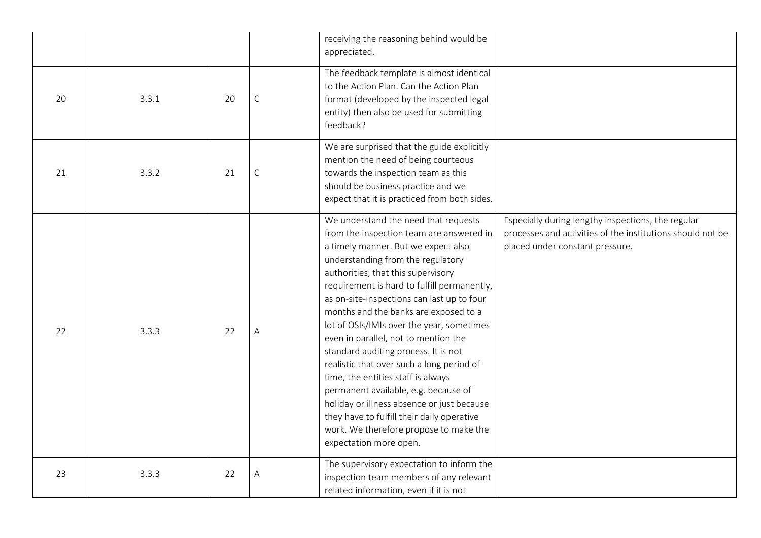|    |       |    |              | receiving the reasoning behind would be<br>appreciated.                                                                                                                                                                                                                                                                                                                                                                                                                                                                                                                                                                                                                                                                                                          |                                                                                                                                                     |
|----|-------|----|--------------|------------------------------------------------------------------------------------------------------------------------------------------------------------------------------------------------------------------------------------------------------------------------------------------------------------------------------------------------------------------------------------------------------------------------------------------------------------------------------------------------------------------------------------------------------------------------------------------------------------------------------------------------------------------------------------------------------------------------------------------------------------------|-----------------------------------------------------------------------------------------------------------------------------------------------------|
| 20 | 3.3.1 | 20 | $\mathsf{C}$ | The feedback template is almost identical<br>to the Action Plan. Can the Action Plan<br>format (developed by the inspected legal<br>entity) then also be used for submitting<br>feedback?                                                                                                                                                                                                                                                                                                                                                                                                                                                                                                                                                                        |                                                                                                                                                     |
| 21 | 3.3.2 | 21 | $\mathsf C$  | We are surprised that the guide explicitly<br>mention the need of being courteous<br>towards the inspection team as this<br>should be business practice and we<br>expect that it is practiced from both sides.                                                                                                                                                                                                                                                                                                                                                                                                                                                                                                                                                   |                                                                                                                                                     |
| 22 | 3.3.3 | 22 | А            | We understand the need that requests<br>from the inspection team are answered in<br>a timely manner. But we expect also<br>understanding from the regulatory<br>authorities, that this supervisory<br>requirement is hard to fulfill permanently,<br>as on-site-inspections can last up to four<br>months and the banks are exposed to a<br>lot of OSIs/IMIs over the year, sometimes<br>even in parallel, not to mention the<br>standard auditing process. It is not<br>realistic that over such a long period of<br>time, the entities staff is always<br>permanent available, e.g. because of<br>holiday or illness absence or just because<br>they have to fulfill their daily operative<br>work. We therefore propose to make the<br>expectation more open. | Especially during lengthy inspections, the regular<br>processes and activities of the institutions should not be<br>placed under constant pressure. |
| 23 | 3.3.3 | 22 | Α            | The supervisory expectation to inform the<br>inspection team members of any relevant<br>related information, even if it is not                                                                                                                                                                                                                                                                                                                                                                                                                                                                                                                                                                                                                                   |                                                                                                                                                     |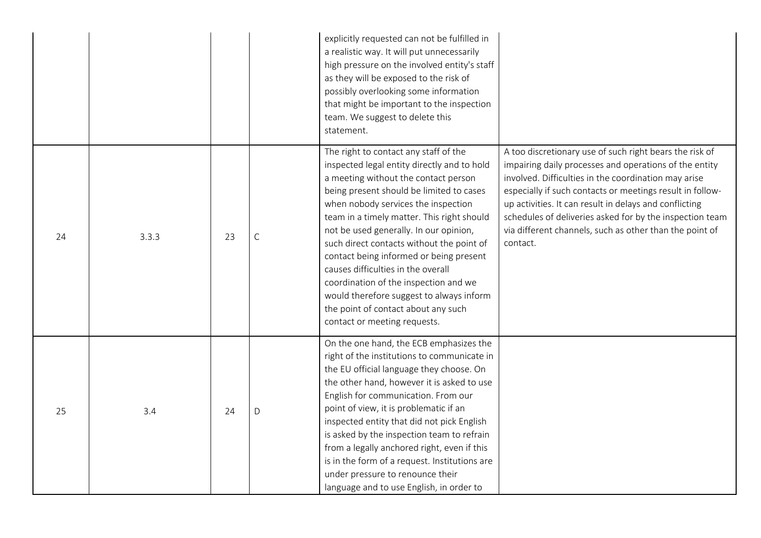|    |       |    |              | explicitly requested can not be fulfilled in<br>a realistic way. It will put unnecessarily<br>high pressure on the involved entity's staff<br>as they will be exposed to the risk of<br>possibly overlooking some information<br>that might be important to the inspection<br>team. We suggest to delete this<br>statement.                                                                                                                                                                                                                                                                       |                                                                                                                                                                                                                                                                                                                                                                                                                                     |
|----|-------|----|--------------|---------------------------------------------------------------------------------------------------------------------------------------------------------------------------------------------------------------------------------------------------------------------------------------------------------------------------------------------------------------------------------------------------------------------------------------------------------------------------------------------------------------------------------------------------------------------------------------------------|-------------------------------------------------------------------------------------------------------------------------------------------------------------------------------------------------------------------------------------------------------------------------------------------------------------------------------------------------------------------------------------------------------------------------------------|
| 24 | 3.3.3 | 23 | $\mathsf{C}$ | The right to contact any staff of the<br>inspected legal entity directly and to hold<br>a meeting without the contact person<br>being present should be limited to cases<br>when nobody services the inspection<br>team in a timely matter. This right should<br>not be used generally. In our opinion,<br>such direct contacts without the point of<br>contact being informed or being present<br>causes difficulties in the overall<br>coordination of the inspection and we<br>would therefore suggest to always inform<br>the point of contact about any such<br>contact or meeting requests. | A too discretionary use of such right bears the risk of<br>impairing daily processes and operations of the entity<br>involved. Difficulties in the coordination may arise<br>especially if such contacts or meetings result in follow-<br>up activities. It can result in delays and conflicting<br>schedules of deliveries asked for by the inspection team<br>via different channels, such as other than the point of<br>contact. |
| 25 | 3.4   | 24 | D            | On the one hand, the ECB emphasizes the<br>right of the institutions to communicate in<br>the EU official language they choose. On<br>the other hand, however it is asked to use<br>English for communication. From our<br>point of view, it is problematic if an<br>inspected entity that did not pick English<br>is asked by the inspection team to refrain<br>from a legally anchored right, even if this<br>is in the form of a request. Institutions are<br>under pressure to renounce their<br>language and to use English, in order to                                                     |                                                                                                                                                                                                                                                                                                                                                                                                                                     |